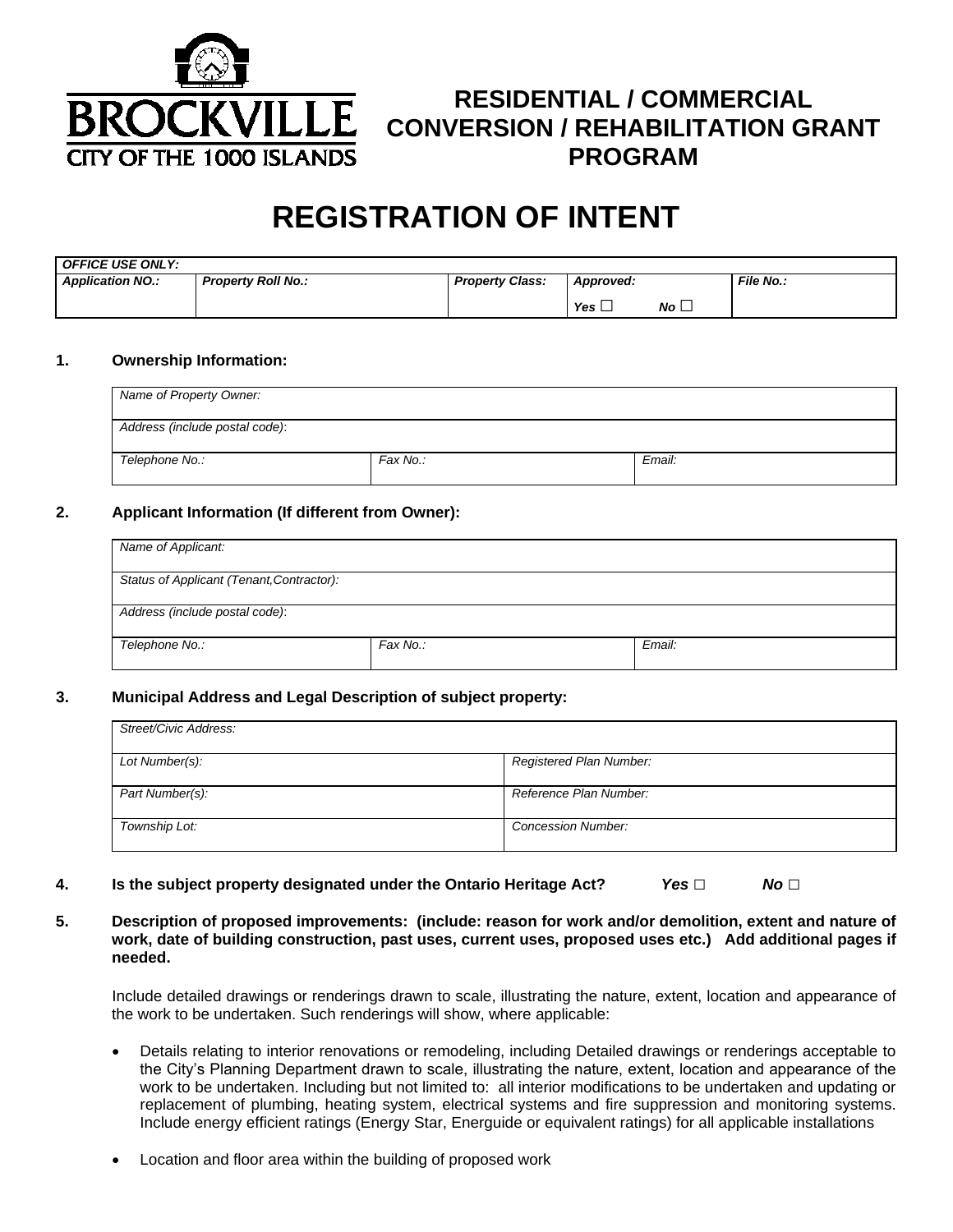

## **RESIDENTIAL / COMMERCIAL CONVERSION / REHABILITATION GRANT PROGRAM**

# **REGISTRATION OF INTENT**

| <b>OFFICE USE ONLY:</b> |                           |                        |                        |             |                  |
|-------------------------|---------------------------|------------------------|------------------------|-------------|------------------|
| <b>Application NO.:</b> | <b>Property Roll No.:</b> | <b>Property Class:</b> | Approved:              |             | <b>File No.:</b> |
|                         |                           |                        | Yes $\mathrel{\sqcup}$ | $No\square$ |                  |

#### **1. Ownership Information:**

| Name of Property Owner:        |          |        |
|--------------------------------|----------|--------|
| Address (include postal code): |          |        |
| Telephone No.:                 | Fax No.: | Email: |

#### **2. Applicant Information (If different from Owner):**

| Name of Applicant:                        |          |        |
|-------------------------------------------|----------|--------|
| Status of Applicant (Tenant, Contractor): |          |        |
| Address (include postal code):            |          |        |
| Telephone No.:                            | Fax No.: | Email: |

#### **3. Municipal Address and Legal Description of subject property:**

| Street/Civic Address: |                           |
|-----------------------|---------------------------|
| Lot Number(s):        | Registered Plan Number:   |
| Part Number(s):       | Reference Plan Number:    |
| Township Lot:         | <b>Concession Number:</b> |

- **4. Is the subject property designated under the Ontario Heritage Act?** *Yes □ No □*
- **5. Description of proposed improvements: (include: reason for work and/or demolition, extent and nature of work, date of building construction, past uses, current uses, proposed uses etc.) Add additional pages if needed.**

 Include detailed drawings or renderings drawn to scale, illustrating the nature, extent, location and appearance of the work to be undertaken. Such renderings will show, where applicable:

- Details relating to interior renovations or remodeling, including Detailed drawings or renderings acceptable to the City's Planning Department drawn to scale, illustrating the nature, extent, location and appearance of the work to be undertaken. Including but not limited to: all interior modifications to be undertaken and updating or replacement of plumbing, heating system, electrical systems and fire suppression and monitoring systems. Include energy efficient ratings (Energy Star, Energuide or equivalent ratings) for all applicable installations
- Location and floor area within the building of proposed work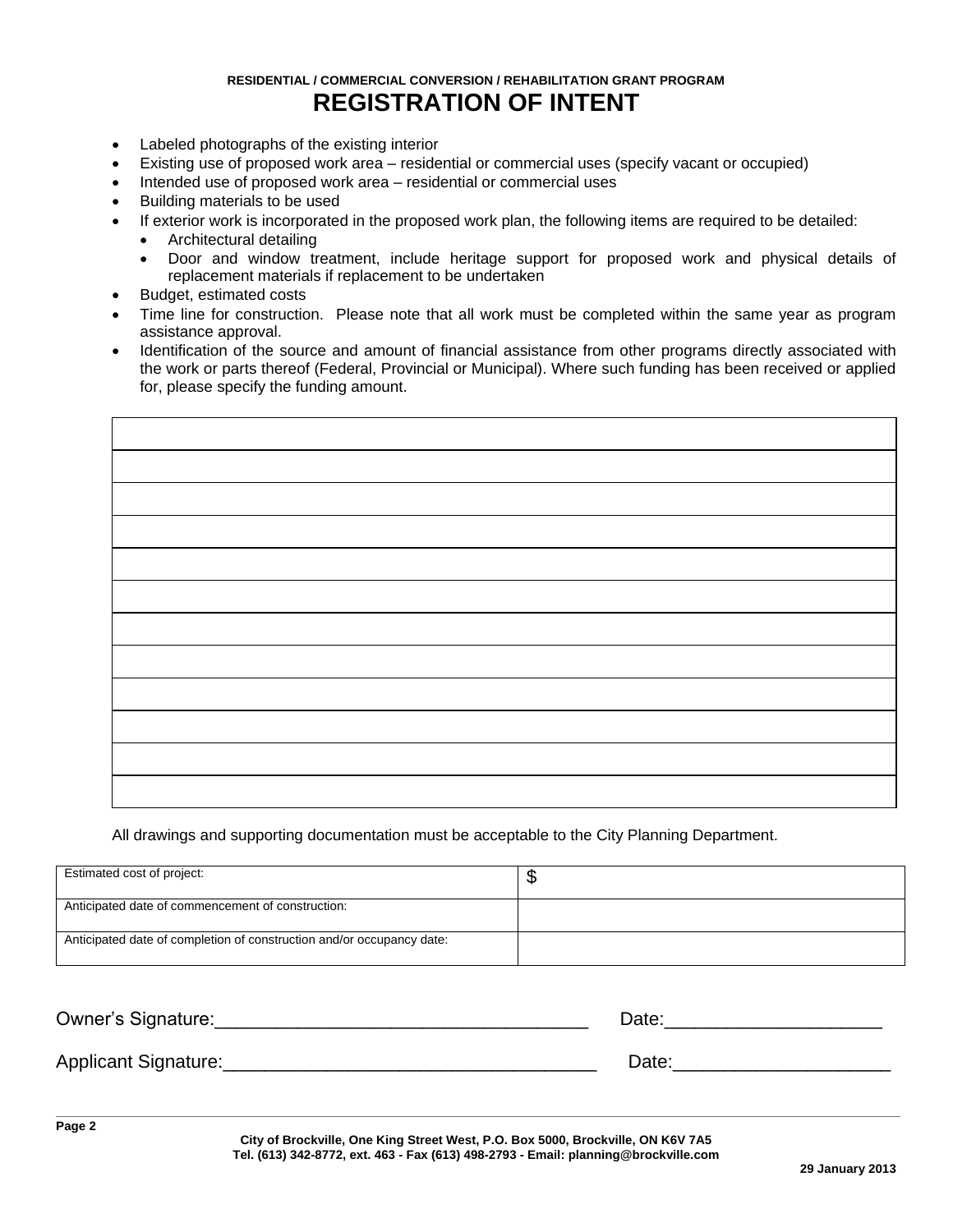## **RESIDENTIAL / COMMERCIAL CONVERSION / REHABILITATION GRANT PROGRAM REGISTRATION OF INTENT**

- Labeled photographs of the existing interior
- Existing use of proposed work area residential or commercial uses (specify vacant or occupied)
- Intended use of proposed work area residential or commercial uses
- Building materials to be used
- If exterior work is incorporated in the proposed work plan, the following items are required to be detailed:
	- Architectural detailing
		- Door and window treatment, include heritage support for proposed work and physical details of replacement materials if replacement to be undertaken
- Budget, estimated costs
- Time line for construction. Please note that all work must be completed within the same year as program assistance approval.
- Identification of the source and amount of financial assistance from other programs directly associated with the work or parts thereof (Federal, Provincial or Municipal). Where such funding has been received or applied for, please specify the funding amount.

All drawings and supporting documentation must be acceptable to the City Planning Department.

| Estimated cost of project:                                            | ۰D |
|-----------------------------------------------------------------------|----|
| Anticipated date of commencement of construction:                     |    |
| Anticipated date of completion of construction and/or occupancy date: |    |

| <b>Owner's Signature:</b> | Date: |
|---------------------------|-------|
| Applicant Signature:      | Date: |